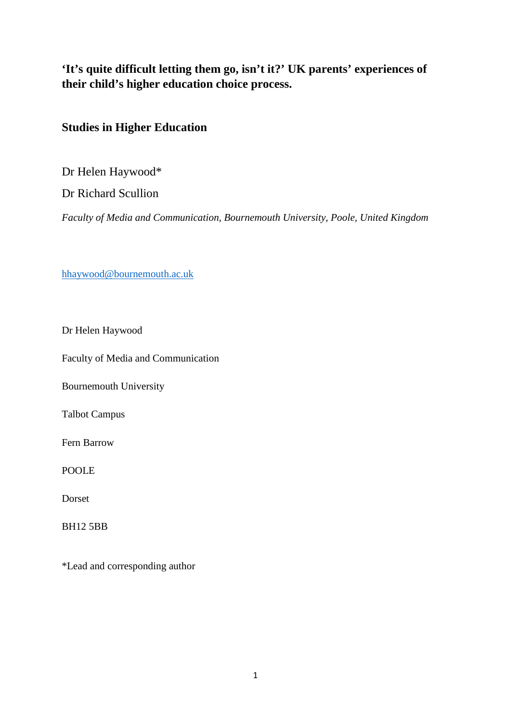# **'It's quite difficult letting them go, isn't it?' UK parents' experiences of their child's higher education choice process.**

# **Studies in Higher Education**

Dr Helen Haywood\*

Dr Richard Scullion

*Faculty of Media and Communication, Bournemouth University, Poole, United Kingdom*

[hhaywood@bournemouth.ac.uk](mailto:hhaywood@bournemouth.ac.uk)

Dr Helen Haywood

Faculty of Media and Communication

Bournemouth University

Talbot Campus

Fern Barrow

POOLE

Dorset

BH12 5BB

\*Lead and corresponding author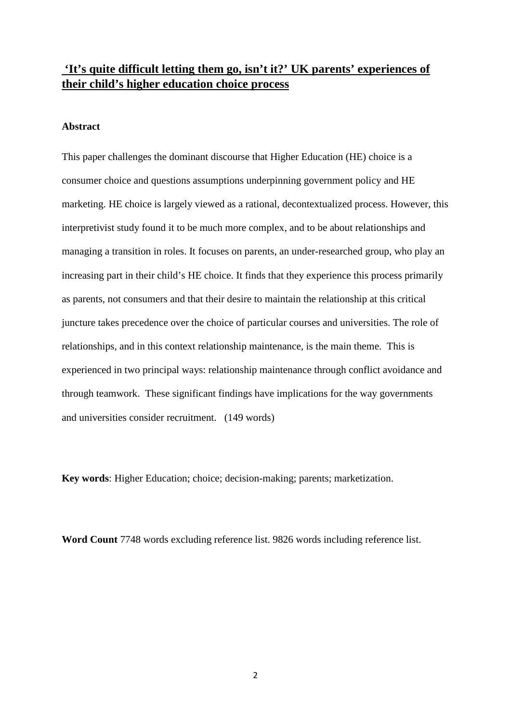# **'It's quite difficult letting them go, isn't it?' UK parents' experiences of their child's higher education choice process**

# **Abstract**

This paper challenges the dominant discourse that Higher Education (HE) choice is a consumer choice and questions assumptions underpinning government policy and HE marketing. HE choice is largely viewed as a rational, decontextualized process. However, this interpretivist study found it to be much more complex, and to be about relationships and managing a transition in roles. It focuses on parents, an under-researched group, who play an increasing part in their child's HE choice. It finds that they experience this process primarily as parents, not consumers and that their desire to maintain the relationship at this critical juncture takes precedence over the choice of particular courses and universities. The role of relationships, and in this context relationship maintenance, is the main theme. This is experienced in two principal ways: relationship maintenance through conflict avoidance and through teamwork. These significant findings have implications for the way governments and universities consider recruitment. (149 words)

**Key words**: Higher Education; choice; decision-making; parents; marketization.

**Word Count** 7748 words excluding reference list. 9826 words including reference list.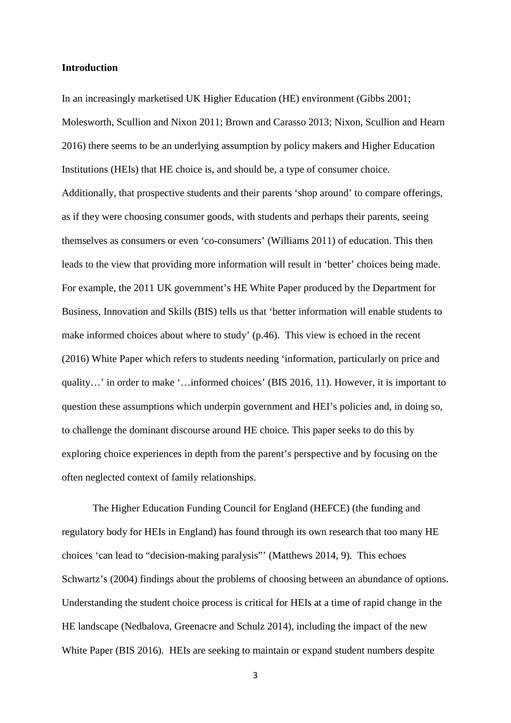#### **Introduction**

In an increasingly marketised UK Higher Education (HE) environment (Gibbs 2001; Molesworth, Scullion and Nixon 2011; Brown and Carasso 2013; Nixon, Scullion and Hearn 2016) there seems to be an underlying assumption by policy makers and Higher Education Institutions (HEIs) that HE choice is, and should be, a type of consumer choice. Additionally, that prospective students and their parents 'shop around' to compare offerings, as if they were choosing consumer goods, with students and perhaps their parents, seeing themselves as consumers or even 'co-consumers' (Williams 2011) of education. This then leads to the view that providing more information will result in 'better' choices being made. For example, the 2011 UK government's HE White Paper produced by the Department for Business, Innovation and Skills (BIS) tells us that 'better information will enable students to make informed choices about where to study' (p.46). This view is echoed in the recent (2016) White Paper which refers to students needing 'information, particularly on price and quality…' in order to make '…informed choices' (BIS 2016, 11). However, it is important to question these assumptions which underpin government and HEI's policies and, in doing so, to challenge the dominant discourse around HE choice. This paper seeks to do this by exploring choice experiences in depth from the parent's perspective and by focusing on the often neglected context of family relationships.

The Higher Education Funding Council for England (HEFCE) (the funding and regulatory body for HEIs in England) has found through its own research that too many HE choices 'can lead to "decision-making paralysis"' (Matthews 2014, 9). This echoes Schwartz's (2004) findings about the problems of choosing between an abundance of options. Understanding the student choice process is critical for HEIs at a time of rapid change in the HE landscape (Nedbalova, Greenacre and Schulz 2014), including the impact of the new White Paper (BIS 2016). HEIs are seeking to maintain or expand student numbers despite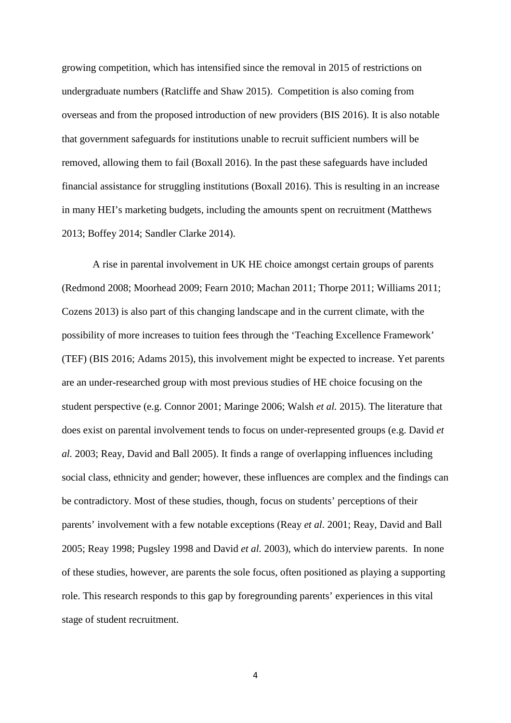growing competition, which has intensified since the removal in 2015 of restrictions on undergraduate numbers (Ratcliffe and Shaw 2015). Competition is also coming from overseas and from the proposed introduction of new providers (BIS 2016). It is also notable that government safeguards for institutions unable to recruit sufficient numbers will be removed, allowing them to fail (Boxall 2016). In the past these safeguards have included financial assistance for struggling institutions (Boxall 2016). This is resulting in an increase in many HEI's marketing budgets, including the amounts spent on recruitment (Matthews 2013; Boffey 2014; Sandler Clarke 2014).

A rise in parental involvement in UK HE choice amongst certain groups of parents (Redmond 2008; Moorhead 2009; Fearn 2010; Machan 2011; Thorpe 2011; Williams 2011; Cozens 2013) is also part of this changing landscape and in the current climate, with the possibility of more increases to tuition fees through the 'Teaching Excellence Framework' (TEF) (BIS 2016; Adams 2015), this involvement might be expected to increase. Yet parents are an under-researched group with most previous studies of HE choice focusing on the student perspective (e.g. Connor 2001; Maringe 2006; Walsh *et al.* 2015). The literature that does exist on parental involvement tends to focus on under-represented groups (e.g. David *et al.* 2003; Reay, David and Ball 2005). It finds a range of overlapping influences including social class, ethnicity and gender; however, these influences are complex and the findings can be contradictory. Most of these studies, though, focus on students' perceptions of their parents' involvement with a few notable exceptions (Reay *et al*. 2001; Reay, David and Ball 2005; Reay 1998; Pugsley 1998 and David *et al.* 2003), which do interview parents. In none of these studies, however, are parents the sole focus, often positioned as playing a supporting role. This research responds to this gap by foregrounding parents' experiences in this vital stage of student recruitment.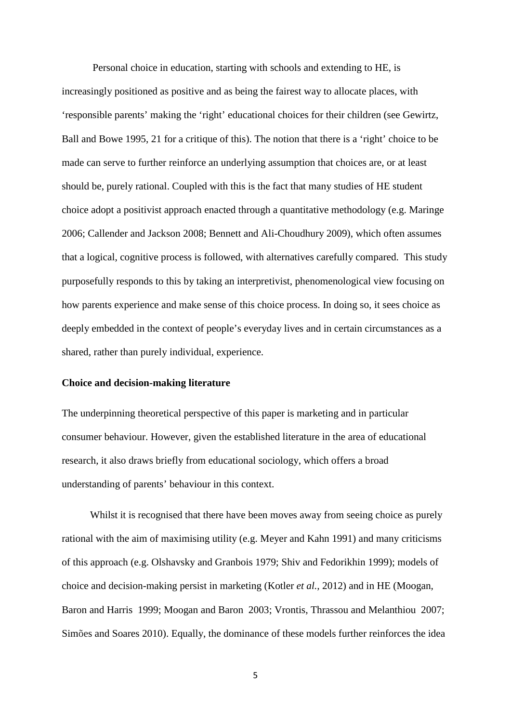Personal choice in education, starting with schools and extending to HE, is increasingly positioned as positive and as being the fairest way to allocate places, with 'responsible parents' making the 'right' educational choices for their children (see Gewirtz, Ball and Bowe 1995, 21 for a critique of this). The notion that there is a 'right' choice to be made can serve to further reinforce an underlying assumption that choices are, or at least should be, purely rational. Coupled with this is the fact that many studies of HE student choice adopt a positivist approach enacted through a quantitative methodology (e.g. Maringe 2006; Callender and Jackson 2008; Bennett and Ali-Choudhury 2009), which often assumes that a logical, cognitive process is followed, with alternatives carefully compared. This study purposefully responds to this by taking an interpretivist, phenomenological view focusing on how parents experience and make sense of this choice process. In doing so, it sees choice as deeply embedded in the context of people's everyday lives and in certain circumstances as a shared, rather than purely individual, experience.

#### **Choice and decision-making literature**

The underpinning theoretical perspective of this paper is marketing and in particular consumer behaviour. However, given the established literature in the area of educational research, it also draws briefly from educational sociology, which offers a broad understanding of parents' behaviour in this context.

 Whilst it is recognised that there have been moves away from seeing choice as purely rational with the aim of maximising utility (e.g. Meyer and Kahn 1991) and many criticisms of this approach (e.g. Olshavsky and Granbois 1979; Shiv and Fedorikhin 1999); models of choice and decision-making persist in marketing (Kotler *et al.,* 2012) and in HE (Moogan*,*  Baron and Harris 1999; Moogan and Baron 2003; Vrontis, Thrassou and Melanthiou 2007; Simões and Soares 2010). Equally, the dominance of these models further reinforces the idea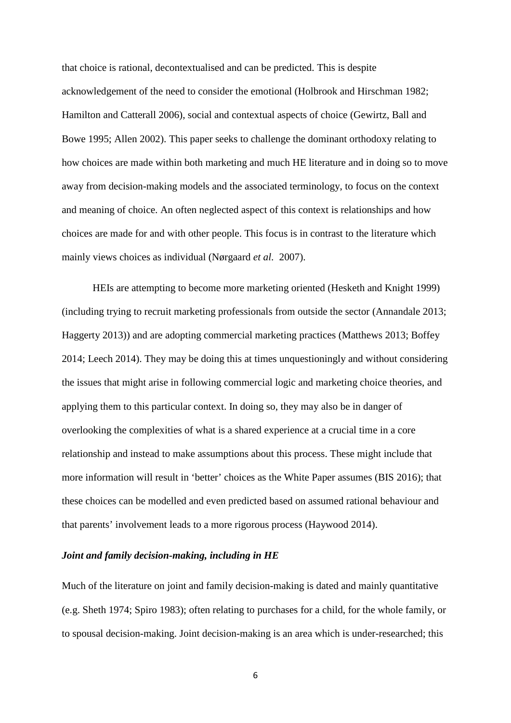that choice is rational, decontextualised and can be predicted. This is despite acknowledgement of the need to consider the emotional (Holbrook and Hirschman 1982; Hamilton and Catterall 2006), social and contextual aspects of choice (Gewirtz, Ball and Bowe 1995; Allen 2002). This paper seeks to challenge the dominant orthodoxy relating to how choices are made within both marketing and much HE literature and in doing so to move away from decision-making models and the associated terminology, to focus on the context and meaning of choice. An often neglected aspect of this context is relationships and how choices are made for and with other people. This focus is in contrast to the literature which mainly views choices as individual (Nørgaard *et al.* 2007).

HEIs are attempting to become more marketing oriented (Hesketh and Knight 1999) (including trying to recruit marketing professionals from outside the sector (Annandale 2013; Haggerty 2013)) and are adopting commercial marketing practices (Matthews 2013; Boffey 2014; Leech 2014). They may be doing this at times unquestioningly and without considering the issues that might arise in following commercial logic and marketing choice theories, and applying them to this particular context. In doing so, they may also be in danger of overlooking the complexities of what is a shared experience at a crucial time in a core relationship and instead to make assumptions about this process. These might include that more information will result in 'better' choices as the White Paper assumes (BIS 2016); that these choices can be modelled and even predicted based on assumed rational behaviour and that parents' involvement leads to a more rigorous process (Haywood 2014).

### *Joint and family decision-making, including in HE*

Much of the literature on joint and family decision-making is dated and mainly quantitative (e.g. Sheth 1974; Spiro 1983); often relating to purchases for a child, for the whole family, or to spousal decision-making. Joint decision-making is an area which is under-researched; this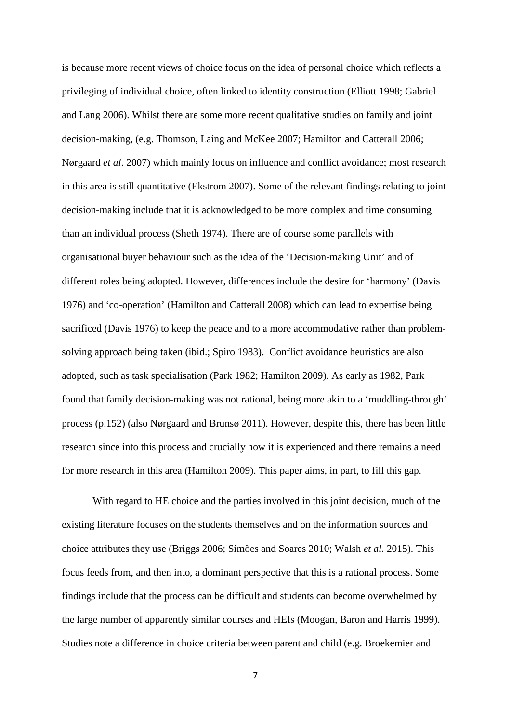is because more recent views of choice focus on the idea of personal choice which reflects a privileging of individual choice, often linked to identity construction (Elliott 1998; Gabriel and Lang 2006). Whilst there are some more recent qualitative studies on family and joint decision-making, (e.g. Thomson, Laing and McKee 2007; Hamilton and Catterall 2006; Nørgaard *et al*. 2007) which mainly focus on influence and conflict avoidance; most research in this area is still quantitative (Ekstrom 2007). Some of the relevant findings relating to joint decision-making include that it is acknowledged to be more complex and time consuming than an individual process (Sheth 1974). There are of course some parallels with organisational buyer behaviour such as the idea of the 'Decision-making Unit' and of different roles being adopted. However, differences include the desire for 'harmony' (Davis 1976) and 'co-operation' (Hamilton and Catterall 2008) which can lead to expertise being sacrificed (Davis 1976) to keep the peace and to a more accommodative rather than problemsolving approach being taken (ibid.; Spiro 1983). Conflict avoidance heuristics are also adopted, such as task specialisation (Park 1982; Hamilton 2009). As early as 1982, Park found that family decision-making was not rational, being more akin to a 'muddling-through' process (p.152) (also Nørgaard and Brunsø 2011). However, despite this, there has been little research since into this process and crucially how it is experienced and there remains a need for more research in this area (Hamilton 2009). This paper aims, in part, to fill this gap.

With regard to HE choice and the parties involved in this joint decision, much of the existing literature focuses on the students themselves and on the information sources and choice attributes they use (Briggs 2006; Simões and Soares 2010; Walsh *et al.* 2015). This focus feeds from, and then into, a dominant perspective that this is a rational process. Some findings include that the process can be difficult and students can become overwhelmed by the large number of apparently similar courses and HEIs (Moogan*,* Baron and Harris 1999). Studies note a difference in choice criteria between parent and child (e.g. Broekemier and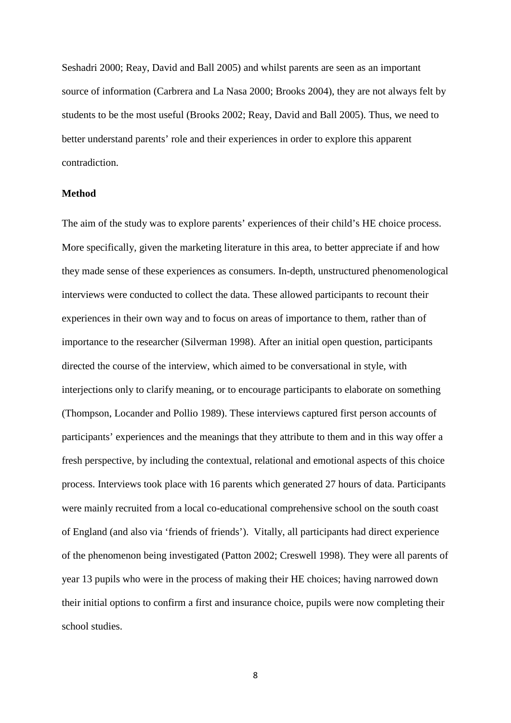Seshadri 2000; Reay, David and Ball 2005) and whilst parents are seen as an important source of information (Carbrera and La Nasa 2000; Brooks 2004), they are not always felt by students to be the most useful (Brooks 2002; Reay, David and Ball 2005). Thus, we need to better understand parents' role and their experiences in order to explore this apparent contradiction.

# **Method**

The aim of the study was to explore parents' experiences of their child's HE choice process. More specifically, given the marketing literature in this area, to better appreciate if and how they made sense of these experiences as consumers. In-depth, unstructured phenomenological interviews were conducted to collect the data. These allowed participants to recount their experiences in their own way and to focus on areas of importance to them, rather than of importance to the researcher (Silverman 1998). After an initial open question, participants directed the course of the interview, which aimed to be conversational in style, with interjections only to clarify meaning, or to encourage participants to elaborate on something (Thompson, Locander and Pollio 1989). These interviews captured first person accounts of participants' experiences and the meanings that they attribute to them and in this way offer a fresh perspective, by including the contextual, relational and emotional aspects of this choice process. Interviews took place with 16 parents which generated 27 hours of data. Participants were mainly recruited from a local co-educational comprehensive school on the south coast of England (and also via 'friends of friends'). Vitally, all participants had direct experience of the phenomenon being investigated (Patton 2002; Creswell 1998). They were all parents of year 13 pupils who were in the process of making their HE choices; having narrowed down their initial options to confirm a first and insurance choice, pupils were now completing their school studies.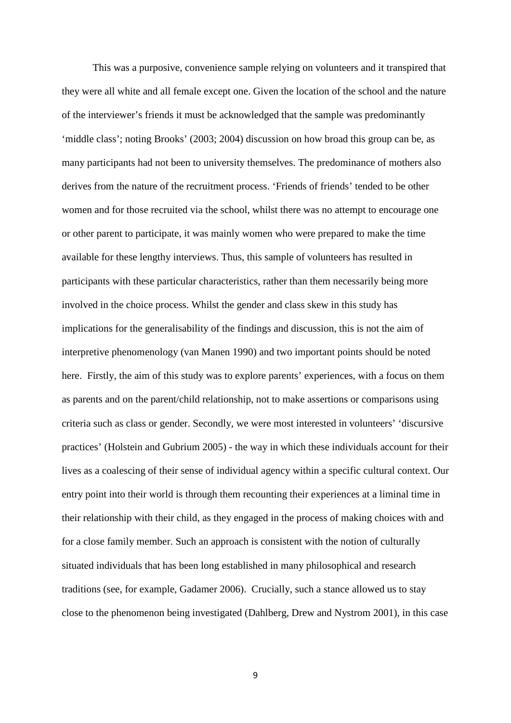This was a purposive, convenience sample relying on volunteers and it transpired that they were all white and all female except one. Given the location of the school and the nature of the interviewer's friends it must be acknowledged that the sample was predominantly 'middle class'; noting Brooks' (2003; 2004) discussion on how broad this group can be, as many participants had not been to university themselves. The predominance of mothers also derives from the nature of the recruitment process. 'Friends of friends' tended to be other women and for those recruited via the school, whilst there was no attempt to encourage one or other parent to participate, it was mainly women who were prepared to make the time available for these lengthy interviews. Thus, this sample of volunteers has resulted in participants with these particular characteristics, rather than them necessarily being more involved in the choice process. Whilst the gender and class skew in this study has implications for the generalisability of the findings and discussion, this is not the aim of interpretive phenomenology (van Manen 1990) and two important points should be noted here. Firstly, the aim of this study was to explore parents' experiences, with a focus on them as parents and on the parent/child relationship, not to make assertions or comparisons using criteria such as class or gender. Secondly, we were most interested in volunteers' 'discursive practices' (Holstein and Gubrium 2005) - the way in which these individuals account for their lives as a coalescing of their sense of individual agency within a specific cultural context. Our entry point into their world is through them recounting their experiences at a liminal time in their relationship with their child, as they engaged in the process of making choices with and for a close family member. Such an approach is consistent with the notion of culturally situated individuals that has been long established in many philosophical and research traditions (see, for example, Gadamer 2006). Crucially, such a stance allowed us to stay close to the phenomenon being investigated (Dahlberg, Drew and Nystrom 2001), in this case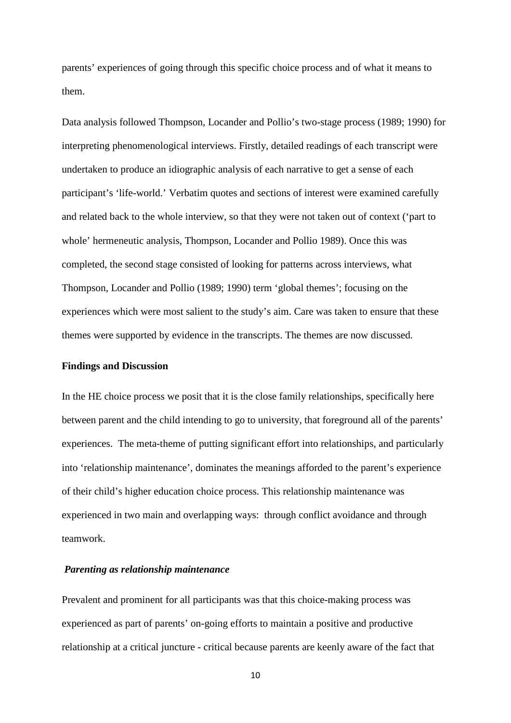parents' experiences of going through this specific choice process and of what it means to them.

Data analysis followed Thompson, Locander and Pollio's two-stage process (1989; 1990) for interpreting phenomenological interviews. Firstly, detailed readings of each transcript were undertaken to produce an idiographic analysis of each narrative to get a sense of each participant's 'life-world.' Verbatim quotes and sections of interest were examined carefully and related back to the whole interview, so that they were not taken out of context ('part to whole' hermeneutic analysis, Thompson, Locander and Pollio 1989). Once this was completed, the second stage consisted of looking for patterns across interviews, what Thompson, Locander and Pollio (1989; 1990) term 'global themes'; focusing on the experiences which were most salient to the study's aim. Care was taken to ensure that these themes were supported by evidence in the transcripts. The themes are now discussed.

#### **Findings and Discussion**

In the HE choice process we posit that it is the close family relationships, specifically here between parent and the child intending to go to university, that foreground all of the parents' experiences. The meta-theme of putting significant effort into relationships, and particularly into 'relationship maintenance', dominates the meanings afforded to the parent's experience of their child's higher education choice process. This relationship maintenance was experienced in two main and overlapping ways: through conflict avoidance and through teamwork.

# *Parenting as relationship maintenance*

Prevalent and prominent for all participants was that this choice-making process was experienced as part of parents' on-going efforts to maintain a positive and productive relationship at a critical juncture - critical because parents are keenly aware of the fact that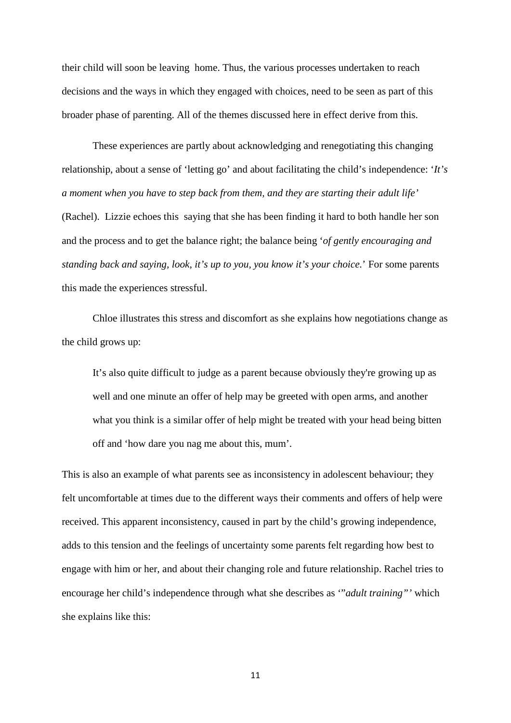their child will soon be leaving home. Thus, the various processes undertaken to reach decisions and the ways in which they engaged with choices, need to be seen as part of this broader phase of parenting. All of the themes discussed here in effect derive from this.

These experiences are partly about acknowledging and renegotiating this changing relationship, about a sense of 'letting go' and about facilitating the child's independence: '*It's a moment when you have to step back from them, and they are starting their adult life'* (Rachel). Lizzie echoes this saying that she has been finding it hard to both handle her son and the process and to get the balance right; the balance being '*of gently encouraging and standing back and saying, look, it's up to you, you know it's your choice.*' For some parents this made the experiences stressful.

Chloe illustrates this stress and discomfort as she explains how negotiations change as the child grows up:

It's also quite difficult to judge as a parent because obviously they're growing up as well and one minute an offer of help may be greeted with open arms, and another what you think is a similar offer of help might be treated with your head being bitten off and 'how dare you nag me about this, mum'.

This is also an example of what parents see as inconsistency in adolescent behaviour; they felt uncomfortable at times due to the different ways their comments and offers of help were received. This apparent inconsistency, caused in part by the child's growing independence, adds to this tension and the feelings of uncertainty some parents felt regarding how best to engage with him or her, and about their changing role and future relationship. Rachel tries to encourage her child's independence through what she describes as '"*adult training"'* which she explains like this: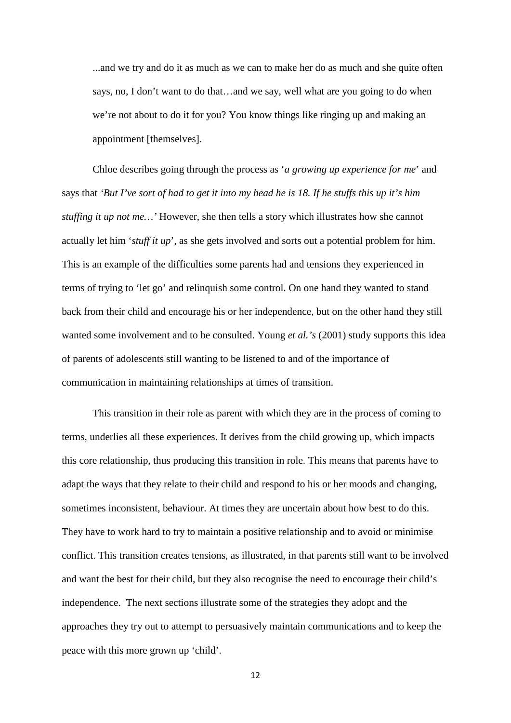...and we try and do it as much as we can to make her do as much and she quite often says, no, I don't want to do that…and we say, well what are you going to do when we're not about to do it for you? You know things like ringing up and making an appointment [themselves].

Chloe describes going through the process as '*a growing up experience for me*' and says that *'But I've sort of had to get it into my head he is 18. If he stuffs this up it's him stuffing it up not me…'* However, she then tells a story which illustrates how she cannot actually let him '*stuff it up*', as she gets involved and sorts out a potential problem for him. This is an example of the difficulties some parents had and tensions they experienced in terms of trying to 'let go' and relinquish some control. On one hand they wanted to stand back from their child and encourage his or her independence, but on the other hand they still wanted some involvement and to be consulted. Young *et al.'s* (2001) study supports this idea of parents of adolescents still wanting to be listened to and of the importance of communication in maintaining relationships at times of transition.

This transition in their role as parent with which they are in the process of coming to terms, underlies all these experiences. It derives from the child growing up, which impacts this core relationship, thus producing this transition in role. This means that parents have to adapt the ways that they relate to their child and respond to his or her moods and changing, sometimes inconsistent, behaviour. At times they are uncertain about how best to do this. They have to work hard to try to maintain a positive relationship and to avoid or minimise conflict. This transition creates tensions, as illustrated, in that parents still want to be involved and want the best for their child, but they also recognise the need to encourage their child's independence. The next sections illustrate some of the strategies they adopt and the approaches they try out to attempt to persuasively maintain communications and to keep the peace with this more grown up 'child'.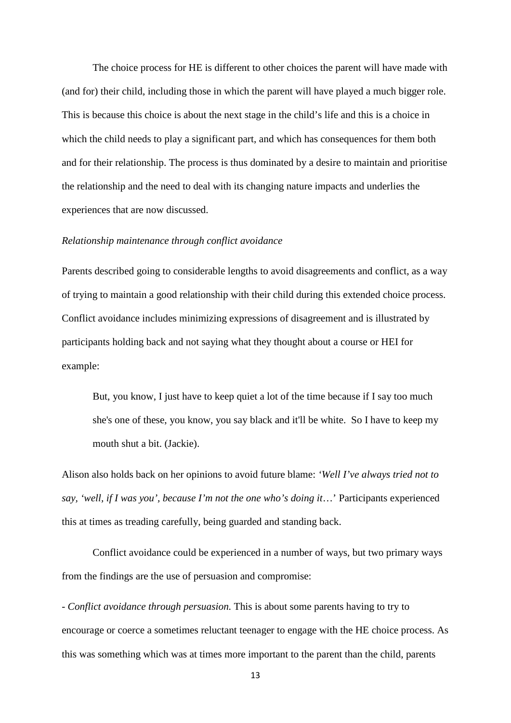The choice process for HE is different to other choices the parent will have made with (and for) their child, including those in which the parent will have played a much bigger role. This is because this choice is about the next stage in the child's life and this is a choice in which the child needs to play a significant part, and which has consequences for them both and for their relationship. The process is thus dominated by a desire to maintain and prioritise the relationship and the need to deal with its changing nature impacts and underlies the experiences that are now discussed.

#### *Relationship maintenance through conflict avoidance*

Parents described going to considerable lengths to avoid disagreements and conflict, as a way of trying to maintain a good relationship with their child during this extended choice process. Conflict avoidance includes minimizing expressions of disagreement and is illustrated by participants holding back and not saying what they thought about a course or HEI for example:

But, you know, I just have to keep quiet a lot of the time because if I say too much she's one of these, you know, you say black and it'll be white. So I have to keep my mouth shut a bit. (Jackie).

Alison also holds back on her opinions to avoid future blame: *'Well I've always tried not to say, 'well, if I was you', because I'm not the one who's doing it*…' Participants experienced this at times as treading carefully, being guarded and standing back.

Conflict avoidance could be experienced in a number of ways, but two primary ways from the findings are the use of persuasion and compromise:

*- Conflict avoidance through persuasion.* This is about some parents having to try to encourage or coerce a sometimes reluctant teenager to engage with the HE choice process. As this was something which was at times more important to the parent than the child, parents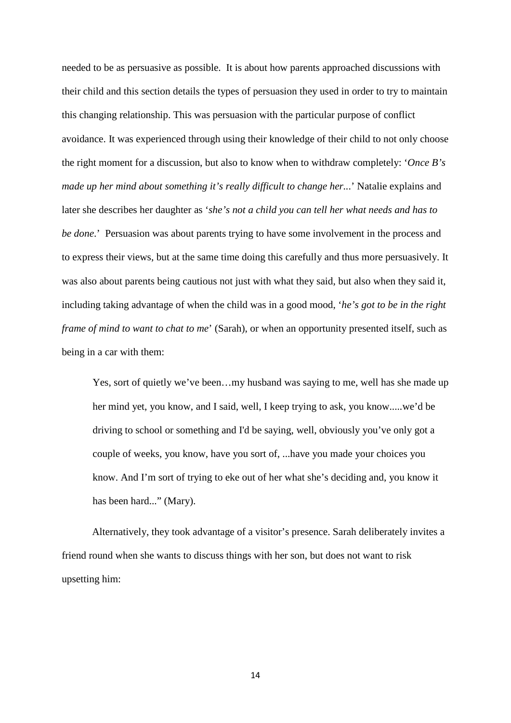needed to be as persuasive as possible. It is about how parents approached discussions with their child and this section details the types of persuasion they used in order to try to maintain this changing relationship. This was persuasion with the particular purpose of conflict avoidance. It was experienced through using their knowledge of their child to not only choose the right moment for a discussion, but also to know when to withdraw completely: '*Once B's made up her mind about something it's really difficult to change her..*.' Natalie explains and later she describes her daughter as '*she's not a child you can tell her what needs and has to be done*.' Persuasion was about parents trying to have some involvement in the process and to express their views, but at the same time doing this carefully and thus more persuasively. It was also about parents being cautious not just with what they said, but also when they said it, including taking advantage of when the child was in a good mood, '*he's got to be in the right frame of mind to want to chat to me*' (Sarah), or when an opportunity presented itself, such as being in a car with them:

Yes, sort of quietly we've been…my husband was saying to me, well has she made up her mind yet, you know, and I said, well, I keep trying to ask, you know.....we'd be driving to school or something and I'd be saying, well, obviously you've only got a couple of weeks, you know, have you sort of, ...have you made your choices you know. And I'm sort of trying to eke out of her what she's deciding and, you know it has been hard..." (Mary).

Alternatively, they took advantage of a visitor's presence. Sarah deliberately invites a friend round when she wants to discuss things with her son, but does not want to risk upsetting him: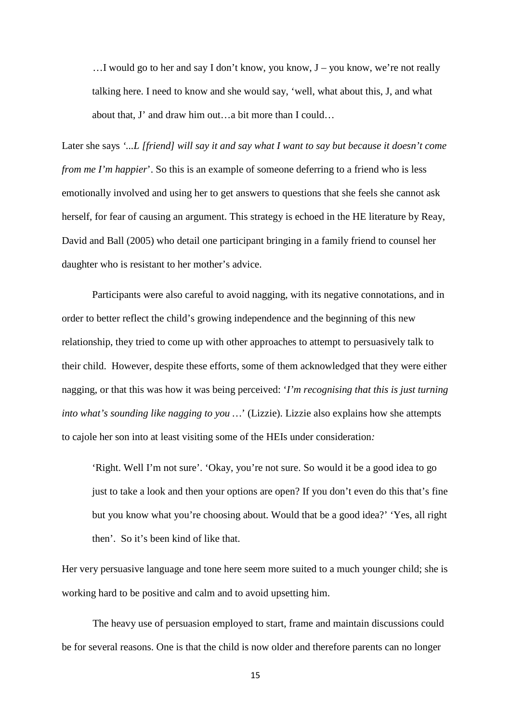$\dots$ I would go to her and say I don't know, you know, J – you know, we're not really talking here. I need to know and she would say, 'well, what about this, J, and what about that, J' and draw him out…a bit more than I could…

Later she says *'...L [friend] will say it and say what I want to say but because it doesn't come from me I'm happier'*. So this is an example of someone deferring to a friend who is less emotionally involved and using her to get answers to questions that she feels she cannot ask herself, for fear of causing an argument. This strategy is echoed in the HE literature by Reay, David and Ball (2005) who detail one participant bringing in a family friend to counsel her daughter who is resistant to her mother's advice.

Participants were also careful to avoid nagging, with its negative connotations, and in order to better reflect the child's growing independence and the beginning of this new relationship, they tried to come up with other approaches to attempt to persuasively talk to their child. However, despite these efforts, some of them acknowledged that they were either nagging, or that this was how it was being perceived: '*I'm recognising that this is just turning into what's sounding like nagging to you …*' (Lizzie). Lizzie also explains how she attempts to cajole her son into at least visiting some of the HEIs under consideration*:*

'Right. Well I'm not sure'. 'Okay, you're not sure. So would it be a good idea to go just to take a look and then your options are open? If you don't even do this that's fine but you know what you're choosing about. Would that be a good idea?' 'Yes, all right then'. So it's been kind of like that.

Her very persuasive language and tone here seem more suited to a much younger child; she is working hard to be positive and calm and to avoid upsetting him.

The heavy use of persuasion employed to start, frame and maintain discussions could be for several reasons. One is that the child is now older and therefore parents can no longer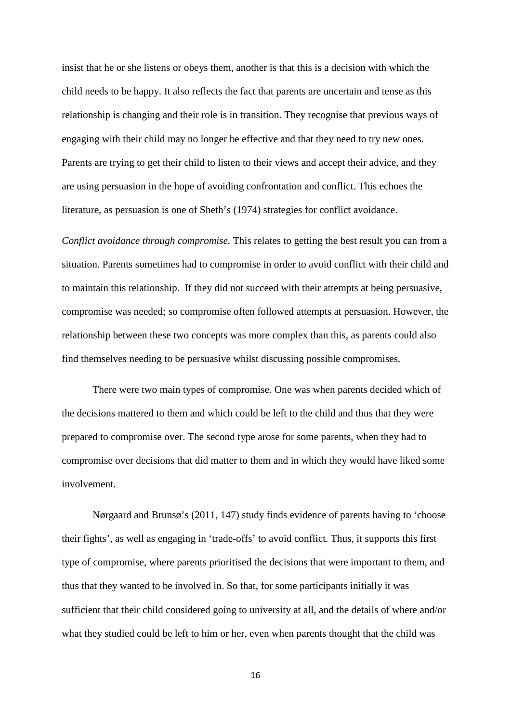insist that he or she listens or obeys them, another is that this is a decision with which the child needs to be happy. It also reflects the fact that parents are uncertain and tense as this relationship is changing and their role is in transition. They recognise that previous ways of engaging with their child may no longer be effective and that they need to try new ones. Parents are trying to get their child to listen to their views and accept their advice, and they are using persuasion in the hope of avoiding confrontation and conflict. This echoes the literature, as persuasion is one of Sheth's (1974) strategies for conflict avoidance.

*Conflict avoidance through compromise.* This relates to getting the best result you can from a situation. Parents sometimes had to compromise in order to avoid conflict with their child and to maintain this relationship. If they did not succeed with their attempts at being persuasive, compromise was needed; so compromise often followed attempts at persuasion. However, the relationship between these two concepts was more complex than this, as parents could also find themselves needing to be persuasive whilst discussing possible compromises.

There were two main types of compromise*.* One was when parents decided which of the decisions mattered to them and which could be left to the child and thus that they were prepared to compromise over. The second type arose for some parents, when they had to compromise over decisions that did matter to them and in which they would have liked some involvement.

Nørgaard and Brunsø's (2011, 147) study finds evidence of parents having to 'choose their fights', as well as engaging in 'trade-offs' to avoid conflict. Thus, it supports this first type of compromise, where parents prioritised the decisions that were important to them, and thus that they wanted to be involved in. So that, for some participants initially it was sufficient that their child considered going to university at all, and the details of where and/or what they studied could be left to him or her, even when parents thought that the child was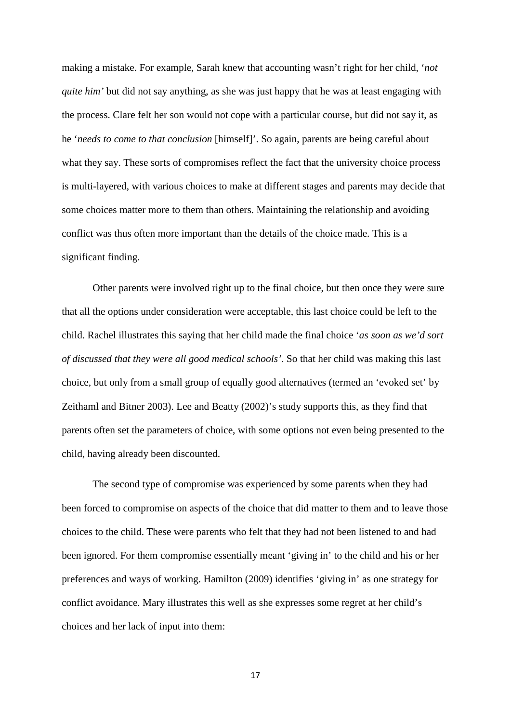making a mistake. For example, Sarah knew that accounting wasn't right for her child, '*not quite him* but did not say anything, as she was just happy that he was at least engaging with the process. Clare felt her son would not cope with a particular course, but did not say it, as he '*needs to come to that conclusion* [himself]'. So again, parents are being careful about what they say. These sorts of compromises reflect the fact that the university choice process is multi-layered, with various choices to make at different stages and parents may decide that some choices matter more to them than others. Maintaining the relationship and avoiding conflict was thus often more important than the details of the choice made. This is a significant finding.

Other parents were involved right up to the final choice, but then once they were sure that all the options under consideration were acceptable, this last choice could be left to the child. Rachel illustrates this saying that her child made the final choice '*as soon as we'd sort of discussed that they were all good medical schools'*. So that her child was making this last choice, but only from a small group of equally good alternatives (termed an 'evoked set' by Zeithaml and Bitner 2003). Lee and Beatty (2002)'s study supports this, as they find that parents often set the parameters of choice, with some options not even being presented to the child, having already been discounted.

The second type of compromise was experienced by some parents when they had been forced to compromise on aspects of the choice that did matter to them and to leave those choices to the child. These were parents who felt that they had not been listened to and had been ignored. For them compromise essentially meant 'giving in' to the child and his or her preferences and ways of working. Hamilton (2009) identifies 'giving in' as one strategy for conflict avoidance. Mary illustrates this well as she expresses some regret at her child's choices and her lack of input into them: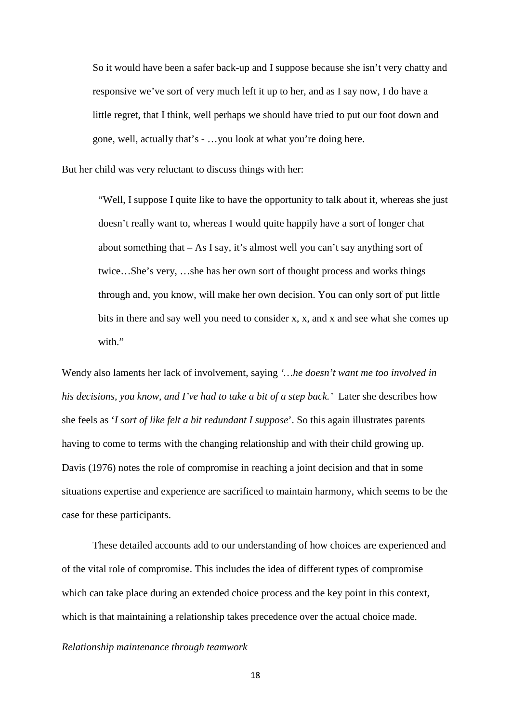So it would have been a safer back-up and I suppose because she isn't very chatty and responsive we've sort of very much left it up to her, and as I say now, I do have a little regret, that I think, well perhaps we should have tried to put our foot down and gone, well, actually that's - …you look at what you're doing here.

But her child was very reluctant to discuss things with her:

"Well, I suppose I quite like to have the opportunity to talk about it, whereas she just doesn't really want to, whereas I would quite happily have a sort of longer chat about something that – As I say, it's almost well you can't say anything sort of twice…She's very, …she has her own sort of thought process and works things through and, you know, will make her own decision. You can only sort of put little bits in there and say well you need to consider x, x, and x and see what she comes up with."

Wendy also laments her lack of involvement, saying *'…he doesn't want me too involved in his decisions, you know, and I've had to take a bit of a step back.'* Later she describes how she feels as '*I sort of like felt a bit redundant I suppose*'. So this again illustrates parents having to come to terms with the changing relationship and with their child growing up. Davis (1976) notes the role of compromise in reaching a joint decision and that in some situations expertise and experience are sacrificed to maintain harmony, which seems to be the case for these participants.

These detailed accounts add to our understanding of how choices are experienced and of the vital role of compromise. This includes the idea of different types of compromise which can take place during an extended choice process and the key point in this context, which is that maintaining a relationship takes precedence over the actual choice made.

#### *Relationship maintenance through teamwork*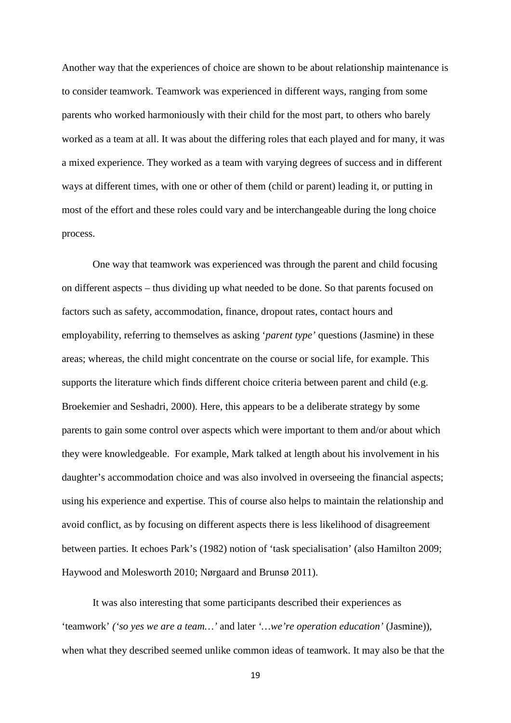Another way that the experiences of choice are shown to be about relationship maintenance is to consider teamwork. Teamwork was experienced in different ways, ranging from some parents who worked harmoniously with their child for the most part, to others who barely worked as a team at all. It was about the differing roles that each played and for many, it was a mixed experience. They worked as a team with varying degrees of success and in different ways at different times, with one or other of them (child or parent) leading it, or putting in most of the effort and these roles could vary and be interchangeable during the long choice process.

One way that teamwork was experienced was through the parent and child focusing on different aspects – thus dividing up what needed to be done. So that parents focused on factors such as safety, accommodation, finance, dropout rates, contact hours and employability, referring to themselves as asking '*parent type'* questions (Jasmine) in these areas; whereas, the child might concentrate on the course or social life, for example. This supports the literature which finds different choice criteria between parent and child (e.g. Broekemier and Seshadri, 2000). Here, this appears to be a deliberate strategy by some parents to gain some control over aspects which were important to them and/or about which they were knowledgeable.For example, Mark talked at length about his involvement in his daughter's accommodation choice and was also involved in overseeing the financial aspects; using his experience and expertise. This of course also helps to maintain the relationship and avoid conflict, as by focusing on different aspects there is less likelihood of disagreement between parties. It echoes Park's (1982) notion of 'task specialisation' (also Hamilton 2009; Haywood and Molesworth 2010; Nørgaard and Brunsø 2011).

It was also interesting that some participants described their experiences as 'teamwork' *('so yes we are a team…'* and later *'…we're operation education'* (Jasmine)), when what they described seemed unlike common ideas of teamwork. It may also be that the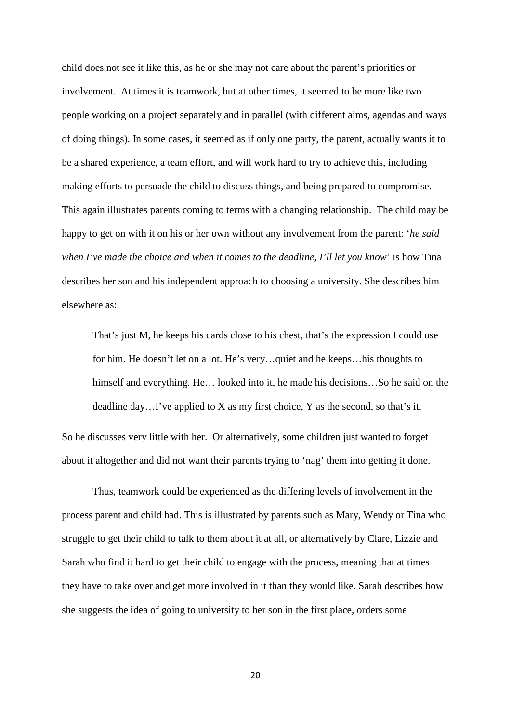child does not see it like this, as he or she may not care about the parent's priorities or involvement. At times it is teamwork, but at other times, it seemed to be more like two people working on a project separately and in parallel (with different aims, agendas and ways of doing things). In some cases, it seemed as if only one party, the parent, actually wants it to be a shared experience, a team effort, and will work hard to try to achieve this, including making efforts to persuade the child to discuss things, and being prepared to compromise. This again illustrates parents coming to terms with a changing relationship. The child may be happy to get on with it on his or her own without any involvement from the parent: '*he said when I've made the choice and when it comes to the deadline, I'll let you know*' is how Tina describes her son and his independent approach to choosing a university. She describes him elsewhere as:

That's just M, he keeps his cards close to his chest, that's the expression I could use for him. He doesn't let on a lot. He's very…quiet and he keeps…his thoughts to himself and everything. He... looked into it, he made his decisions...So he said on the deadline day…I've applied to X as my first choice, Y as the second, so that's it.

So he discusses very little with her. Or alternatively, some children just wanted to forget about it altogether and did not want their parents trying to 'nag' them into getting it done.

Thus, teamwork could be experienced as the differing levels of involvement in the process parent and child had. This is illustrated by parents such as Mary, Wendy or Tina who struggle to get their child to talk to them about it at all, or alternatively by Clare, Lizzie and Sarah who find it hard to get their child to engage with the process, meaning that at times they have to take over and get more involved in it than they would like. Sarah describes how she suggests the idea of going to university to her son in the first place, orders some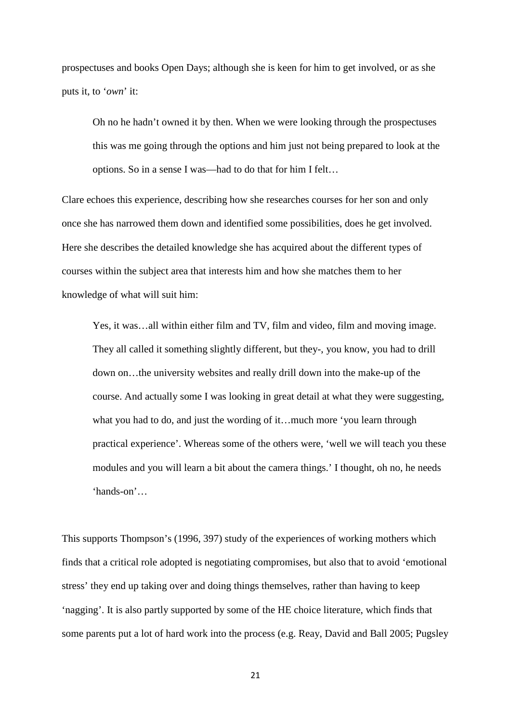prospectuses and books Open Days; although she is keen for him to get involved, or as she puts it, to '*own*' it:

Oh no he hadn't owned it by then. When we were looking through the prospectuses this was me going through the options and him just not being prepared to look at the options. So in a sense I was—had to do that for him I felt…

Clare echoes this experience, describing how she researches courses for her son and only once she has narrowed them down and identified some possibilities, does he get involved. Here she describes the detailed knowledge she has acquired about the different types of courses within the subject area that interests him and how she matches them to her knowledge of what will suit him:

Yes, it was…all within either film and TV, film and video, film and moving image. They all called it something slightly different, but they-, you know, you had to drill down on…the university websites and really drill down into the make-up of the course. And actually some I was looking in great detail at what they were suggesting, what you had to do, and just the wording of it…much more 'you learn through practical experience'. Whereas some of the others were, 'well we will teach you these modules and you will learn a bit about the camera things.' I thought, oh no, he needs 'hands-on'…

This supports Thompson's (1996, 397) study of the experiences of working mothers which finds that a critical role adopted is negotiating compromises, but also that to avoid 'emotional stress' they end up taking over and doing things themselves, rather than having to keep 'nagging'. It is also partly supported by some of the HE choice literature, which finds that some parents put a lot of hard work into the process (e.g. Reay, David and Ball 2005; Pugsley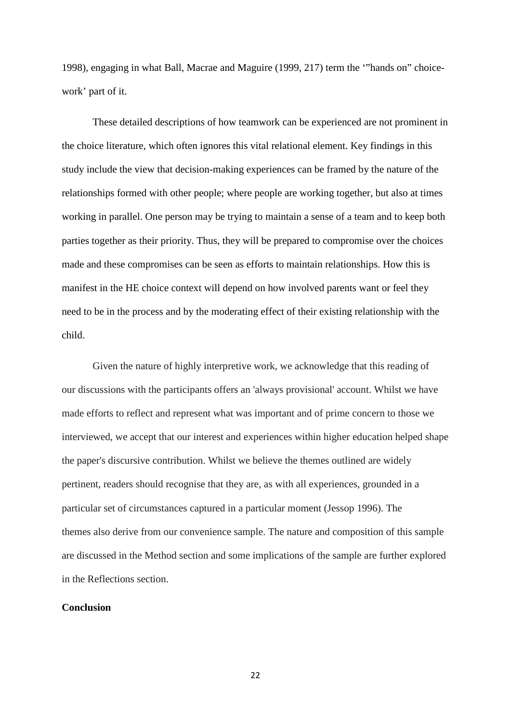1998), engaging in what Ball, Macrae and Maguire (1999, 217) term the '"hands on" choicework' part of it.

These detailed descriptions of how teamwork can be experienced are not prominent in the choice literature, which often ignores this vital relational element. Key findings in this study include the view that decision-making experiences can be framed by the nature of the relationships formed with other people; where people are working together, but also at times working in parallel. One person may be trying to maintain a sense of a team and to keep both parties together as their priority. Thus, they will be prepared to compromise over the choices made and these compromises can be seen as efforts to maintain relationships. How this is manifest in the HE choice context will depend on how involved parents want or feel they need to be in the process and by the moderating effect of their existing relationship with the child.

Given the nature of highly interpretive work, we acknowledge that this reading of our discussions with the participants offers an 'always provisional' account. Whilst we have made efforts to reflect and represent what was important and of prime concern to those we interviewed, we accept that our interest and experiences within higher education helped shape the paper's discursive contribution. Whilst we believe the themes outlined are widely pertinent, readers should recognise that they are, as with all experiences, grounded in a particular set of circumstances captured in a particular moment (Jessop 1996). The themes also derive from our convenience sample. The nature and composition of this sample are discussed in the Method section and some implications of the sample are further explored in the Reflections section.

### **Conclusion**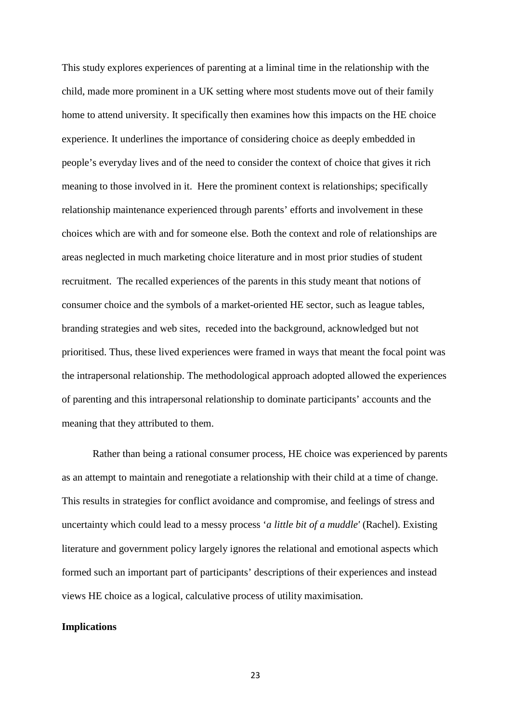This study explores experiences of parenting at a liminal time in the relationship with the child, made more prominent in a UK setting where most students move out of their family home to attend university. It specifically then examines how this impacts on the HE choice experience. It underlines the importance of considering choice as deeply embedded in people's everyday lives and of the need to consider the context of choice that gives it rich meaning to those involved in it. Here the prominent context is relationships; specifically relationship maintenance experienced through parents' efforts and involvement in these choices which are with and for someone else. Both the context and role of relationships are areas neglected in much marketing choice literature and in most prior studies of student recruitment. The recalled experiences of the parents in this study meant that notions of consumer choice and the symbols of a market-oriented HE sector, such as league tables, branding strategies and web sites, receded into the background, acknowledged but not prioritised. Thus, these lived experiences were framed in ways that meant the focal point was the intrapersonal relationship. The methodological approach adopted allowed the experiences of parenting and this intrapersonal relationship to dominate participants' accounts and the meaning that they attributed to them.

Rather than being a rational consumer process, HE choice was experienced by parents as an attempt to maintain and renegotiate a relationship with their child at a time of change. This results in strategies for conflict avoidance and compromise, and feelings of stress and uncertainty which could lead to a messy process '*a little bit of a muddle'* (Rachel). Existing literature and government policy largely ignores the relational and emotional aspects which formed such an important part of participants' descriptions of their experiences and instead views HE choice as a logical, calculative process of utility maximisation.

#### **Implications**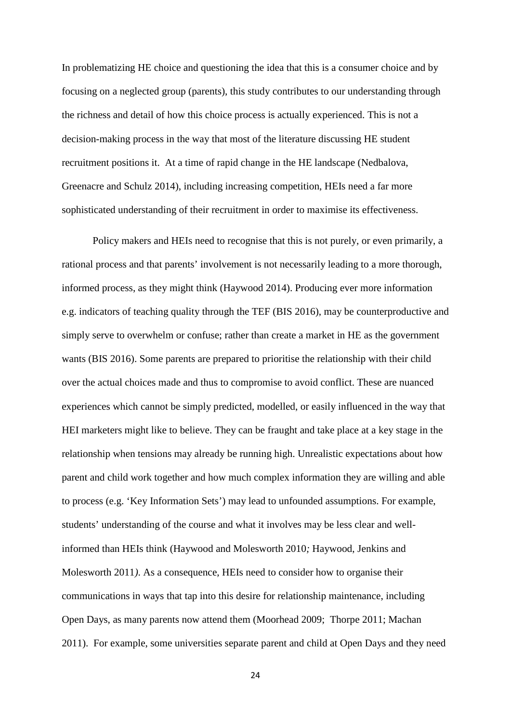In problematizing HE choice and questioning the idea that this is a consumer choice and by focusing on a neglected group (parents), this study contributes to our understanding through the richness and detail of how this choice process is actually experienced. This is not a decision-making process in the way that most of the literature discussing HE student recruitment positions it. At a time of rapid change in the HE landscape (Nedbalova, Greenacre and Schulz 2014), including increasing competition, HEIs need a far more sophisticated understanding of their recruitment in order to maximise its effectiveness.

Policy makers and HEIs need to recognise that this is not purely, or even primarily, a rational process and that parents' involvement is not necessarily leading to a more thorough, informed process, as they might think (Haywood 2014). Producing ever more information e.g. indicators of teaching quality through the TEF (BIS 2016), may be counterproductive and simply serve to overwhelm or confuse; rather than create a market in HE as the government wants (BIS 2016). Some parents are prepared to prioritise the relationship with their child over the actual choices made and thus to compromise to avoid conflict. These are nuanced experiences which cannot be simply predicted, modelled, or easily influenced in the way that HEI marketers might like to believe. They can be fraught and take place at a key stage in the relationship when tensions may already be running high. Unrealistic expectations about how parent and child work together and how much complex information they are willing and able to process (e.g. 'Key Information Sets') may lead to unfounded assumptions. For example, students' understanding of the course and what it involves may be less clear and wellinformed than HEIs think (Haywood and Molesworth 2010*;* Haywood, Jenkins and Molesworth 2011*)*. As a consequence, HEIs need to consider how to organise their communications in ways that tap into this desire for relationship maintenance, including Open Days, as many parents now attend them (Moorhead 2009; Thorpe 2011; Machan 2011). For example, some universities separate parent and child at Open Days and they need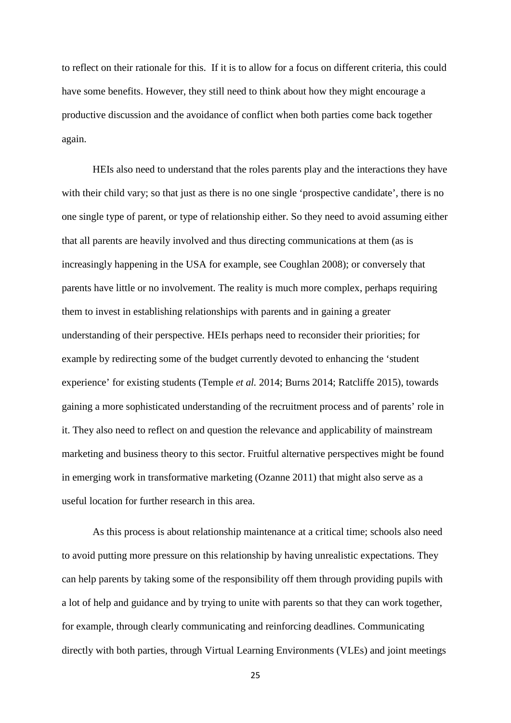to reflect on their rationale for this. If it is to allow for a focus on different criteria, this could have some benefits. However, they still need to think about how they might encourage a productive discussion and the avoidance of conflict when both parties come back together again.

HEIs also need to understand that the roles parents play and the interactions they have with their child vary; so that just as there is no one single 'prospective candidate', there is no one single type of parent, or type of relationship either. So they need to avoid assuming either that all parents are heavily involved and thus directing communications at them (as is increasingly happening in the USA for example, see Coughlan 2008); or conversely that parents have little or no involvement. The reality is much more complex, perhaps requiring them to invest in establishing relationships with parents and in gaining a greater understanding of their perspective. HEIs perhaps need to reconsider their priorities; for example by redirecting some of the budget currently devoted to enhancing the 'student experience' for existing students (Temple *et al.* 2014; Burns 2014; Ratcliffe 2015), towards gaining a more sophisticated understanding of the recruitment process and of parents' role in it. They also need to reflect on and question the relevance and applicability of mainstream marketing and business theory to this sector. Fruitful alternative perspectives might be found in emerging work in transformative marketing (Ozanne 2011) that might also serve as a useful location for further research in this area.

As this process is about relationship maintenance at a critical time; schools also need to avoid putting more pressure on this relationship by having unrealistic expectations. They can help parents by taking some of the responsibility off them through providing pupils with a lot of help and guidance and by trying to unite with parents so that they can work together, for example, through clearly communicating and reinforcing deadlines. Communicating directly with both parties, through Virtual Learning Environments (VLEs) and joint meetings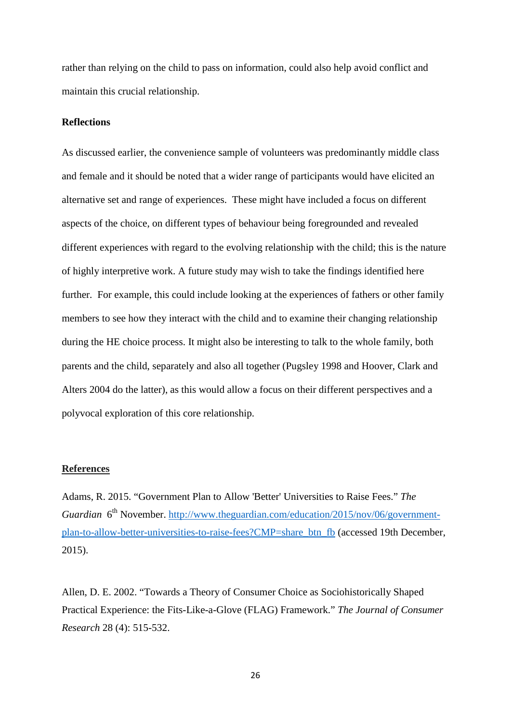rather than relying on the child to pass on information, could also help avoid conflict and maintain this crucial relationship.

# **Reflections**

As discussed earlier, the convenience sample of volunteers was predominantly middle class and female and it should be noted that a wider range of participants would have elicited an alternative set and range of experiences. These might have included a focus on different aspects of the choice, on different types of behaviour being foregrounded and revealed different experiences with regard to the evolving relationship with the child; this is the nature of highly interpretive work. A future study may wish to take the findings identified here further. For example, this could include looking at the experiences of fathers or other family members to see how they interact with the child and to examine their changing relationship during the HE choice process. It might also be interesting to talk to the whole family, both parents and the child, separately and also all together (Pugsley 1998 and Hoover, Clark and Alters 2004 do the latter), as this would allow a focus on their different perspectives and a polyvocal exploration of this core relationship.

#### **References**

Adams, R. 2015. "Government Plan to Allow 'Better' Universities to Raise Fees." *The Guardian* 6<sup>th</sup> November. [http://www.theguardian.com/education/2015/nov/06/government](http://www.theguardian.com/education/2015/nov/06/government-plan-to-allow-better-universities-to-raise-fees?CMP=share_btn_fb)[plan-to-allow-better-universities-to-raise-fees?CMP=share\\_btn\\_fb](http://www.theguardian.com/education/2015/nov/06/government-plan-to-allow-better-universities-to-raise-fees?CMP=share_btn_fb) (accessed 19th December, 2015).

Allen, D. E. 2002. "Towards a Theory of Consumer Choice as Sociohistorically Shaped Practical Experience: the Fits-Like-a-Glove (FLAG) Framework." *The Journal of Consumer Research* 28 (4): 515-532.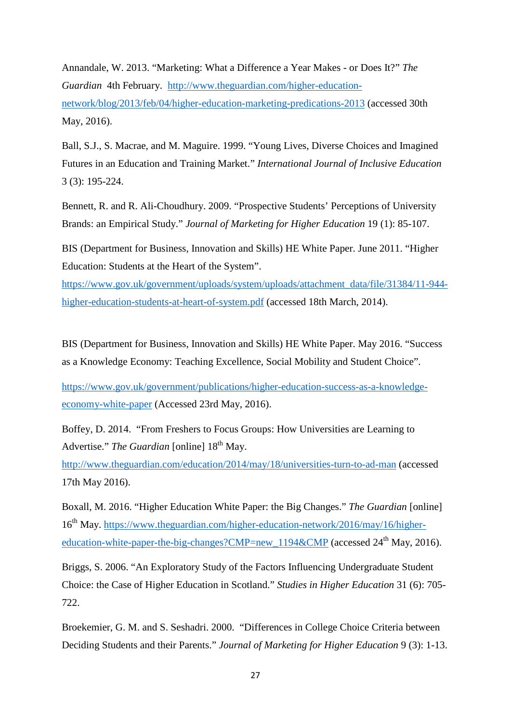Annandale, W. 2013. "Marketing: What a Difference a Year Makes - or Does It?" *The Guardian* 4th February. [http://www.theguardian.com/higher-education](http://www.theguardian.com/higher-education-network/blog/2013/feb/04/higher-education-marketing-predications-2013)[network/blog/2013/feb/04/higher-education-marketing-predications-2013](http://www.theguardian.com/higher-education-network/blog/2013/feb/04/higher-education-marketing-predications-2013) (accessed 30th May, 2016).

Ball, S.J., S. Macrae, and M. Maguire. 1999. "Young Lives, Diverse Choices and Imagined Futures in an Education and Training Market." *International Journal of Inclusive Education* 3 (3): 195-224.

Bennett, R. and R. Ali-Choudhury. 2009. "Prospective Students' Perceptions of University Brands: an Empirical Study." *Journal of Marketing for Higher Education* 19 (1): 85-107.

BIS (Department for Business, Innovation and Skills) HE White Paper. June 2011. "Higher Education: Students at the Heart of the System".

[https://www.gov.uk/government/uploads/system/uploads/attachment\\_data/file/31384/11-944](https://www.gov.uk/government/uploads/system/uploads/attachment_data/file/31384/11-944-higher-education-students-at-heart-of-system.pdf) [higher-education-students-at-heart-of-system.pdf](https://www.gov.uk/government/uploads/system/uploads/attachment_data/file/31384/11-944-higher-education-students-at-heart-of-system.pdf) (accessed 18th March, 2014).

BIS (Department for Business, Innovation and Skills) HE White Paper. May 2016. "Success as a Knowledge Economy: Teaching Excellence, Social Mobility and Student Choice".

[https://www.gov.uk/government/publications/higher-education-success-as-a-knowledge](https://www.gov.uk/government/publications/higher-education-success-as-a-knowledge-economy-white-paper)[economy-white-paper](https://www.gov.uk/government/publications/higher-education-success-as-a-knowledge-economy-white-paper) (Accessed 23rd May, 2016).

Boffey, D. 2014. "From Freshers to Focus Groups: How Universities are Learning to Advertise." *The Guardian* [online]  $18<sup>th</sup>$  May.

<http://www.theguardian.com/education/2014/may/18/universities-turn-to-ad-man> (accessed 17th May 2016).

Boxall, M. 2016. "Higher Education White Paper: the Big Changes." *The Guardian* [online] 16th May. [https://www.theguardian.com/higher-education-network/2016/may/16/higher](https://www.theguardian.com/higher-education-network/2016/may/16/higher-education-white-paper-the-big-changes?CMP=new_1194&CMP)[education-white-paper-the-big-changes?CMP=new\\_1194&CMP](https://www.theguardian.com/higher-education-network/2016/may/16/higher-education-white-paper-the-big-changes?CMP=new_1194&CMP) (accessed  $24<sup>th</sup>$  May, 2016).

Briggs, S. 2006. "An Exploratory Study of the Factors Influencing Undergraduate Student Choice: the Case of Higher Education in Scotland." *Studies in Higher Education* 31 (6): 705- 722.

Broekemier, G. M. and S. Seshadri. 2000. "Differences in College Choice Criteria between Deciding Students and their Parents." *Journal of Marketing for Higher Education* 9 (3): 1-13.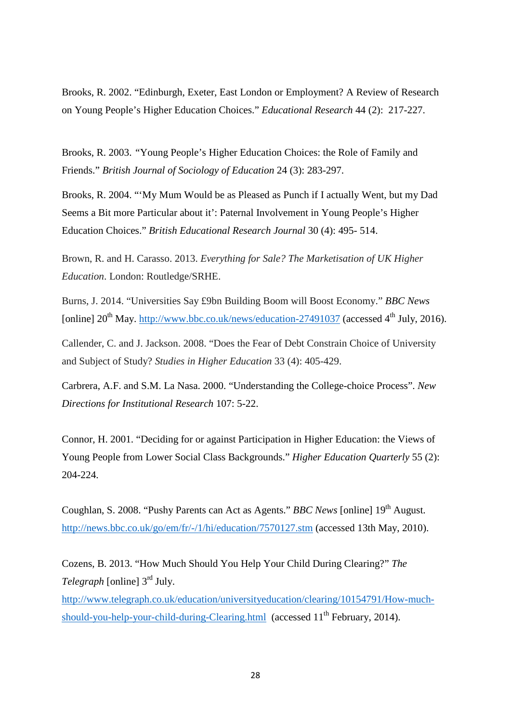Brooks, R. 2002. "Edinburgh, Exeter, East London or Employment? A Review of Research on Young People's Higher Education Choices." *Educational Research* 44 (2): 217-227.

Brooks, R. 2003. *"*Young People's Higher Education Choices: the Role of Family and Friends." *British Journal of Sociology of Education* 24 (3): 283-297.

Brooks, R. 2004. "'My Mum Would be as Pleased as Punch if I actually Went, but my Dad Seems a Bit more Particular about it': Paternal Involvement in Young People's Higher Education Choices." *British Educational Research Journal* 30 (4): 495- 514.

Brown, R. and H. Carasso. 2013. *Everything for Sale? The Marketisation of UK Higher Education*. London: Routledge/SRHE.

Burns, J. 2014. "Universities Say £9bn Building Boom will Boost Economy." *BBC News* [online]  $20^{th}$  May.<http://www.bbc.co.uk/news/education-27491037> (accessed 4<sup>th</sup> July, 2016).

Callender, C. and J. Jackson. 2008. "Does the Fear of Debt Constrain Choice of University and Subject of Study? *Studies in Higher Education* 33 (4): 405-429.

Carbrera, A.F. and S.M. La Nasa. 2000. "Understanding the College-choice Process". *New Directions for Institutional Research* 107: 5-22.

Connor, H. 2001. "Deciding for or against Participation in Higher Education: the Views of Young People from Lower Social Class Backgrounds." *Higher Education Quarterly* 55 (2): 204-224.

Coughlan, S. 2008. "Pushy Parents can Act as Agents." *BBC News* [online] 19<sup>th</sup> August. <http://news.bbc.co.uk/go/em/fr/-/1/hi/education/7570127.stm> (accessed 13th May, 2010).

Cozens, B. 2013. "How Much Should You Help Your Child During Clearing?" *The Telegraph* [online]  $3<sup>rd</sup>$  July.

[http://www.telegraph.co.uk/education/universityeducation/clearing/10154791/How-much](http://www.telegraph.co.uk/education/universityeducation/clearing/10154791/How-much-should-you-help-your-child-during-Clearing.html)[should-you-help-your-child-during-Clearing.html](http://www.telegraph.co.uk/education/universityeducation/clearing/10154791/How-much-should-you-help-your-child-during-Clearing.html) (accessed 11<sup>th</sup> February, 2014).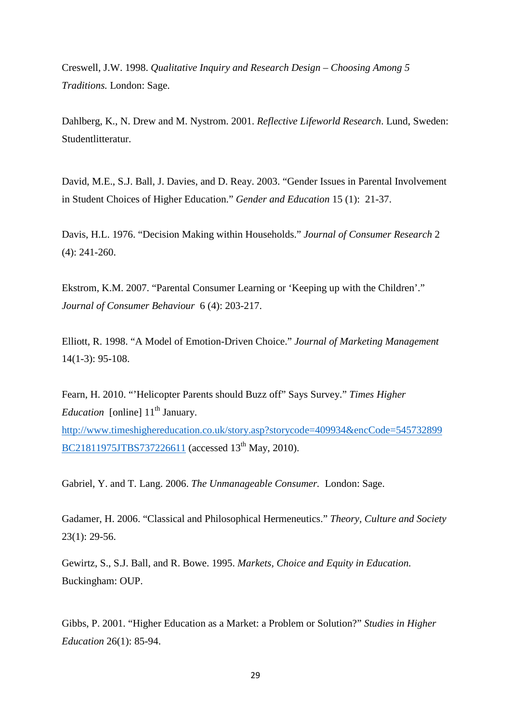Creswell, J.W. 1998. *Qualitative Inquiry and Research Design – Choosing Among 5 Traditions.* London: Sage.

Dahlberg, K., N. Drew and M. Nystrom. 2001. *Reflective Lifeworld Research*. Lund, Sweden: Studentlitteratur.

David, M.E., S.J. Ball, J. Davies, and D. Reay. 2003. "Gender Issues in Parental Involvement in Student Choices of Higher Education." *Gender and Education* 15 (1): 21-37.

Davis, H.L. 1976. "Decision Making within Households." *Journal of Consumer Research* 2 (4): 241-260.

Ekstrom, K.M. 2007. "Parental Consumer Learning or 'Keeping up with the Children'." *Journal of Consumer Behaviour* 6 (4): 203-217.

Elliott, R. 1998. "A Model of Emotion-Driven Choice." *Journal of Marketing Management* 14(1-3): 95-108.

Fearn, H. 2010. "'Helicopter Parents should Buzz off" Says Survey." *Times Higher Education* [online]  $11<sup>th</sup>$  January. [http://www.timeshighereducation.co.uk/story.asp?storycode=409934&encCode=545732899](http://www.timeshighereducation.co.uk/story.asp?storycode=409934&encCode=545732899BC21811975JTBS737226611) [BC21811975JTBS737226611](http://www.timeshighereducation.co.uk/story.asp?storycode=409934&encCode=545732899BC21811975JTBS737226611) (accessed 13<sup>th</sup> May, 2010).

Gabriel, Y. and T. Lang. 2006. *The Unmanageable Consumer.* London: Sage.

Gadamer, H. 2006. "Classical and Philosophical Hermeneutics." *Theory, Culture and Society* 23(1): 29-56.

Gewirtz, S., S.J. Ball, and R. Bowe. 1995. *Markets, Choice and Equity in Education.* Buckingham: OUP.

Gibbs, P. 2001. "Higher Education as a Market: a Problem or Solution?" *Studies in Higher Education* 26(1): 85-94.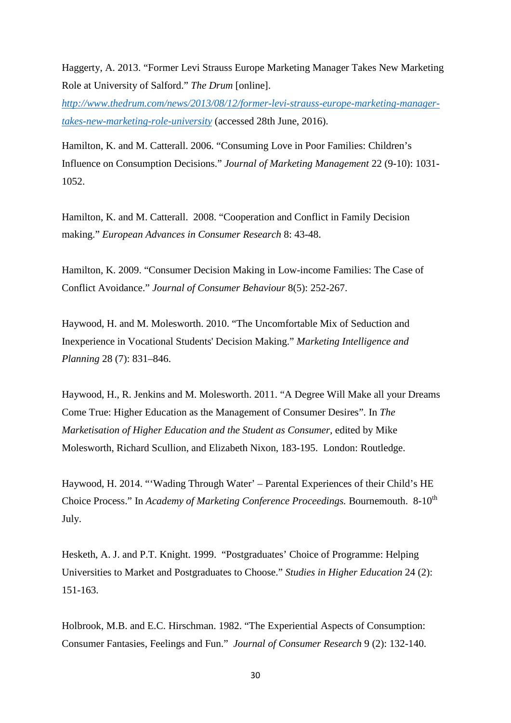Haggerty, A. 2013. "Former Levi Strauss Europe Marketing Manager Takes New Marketing Role at University of Salford." *The Drum* [online].

*[http://www.thedrum.com/news/2013/08/12/former-levi-strauss-europe-marketing-manager](http://www.thedrum.com/news/2013/08/12/former-levi-strauss-europe-marketing-manager-takes-new-marketing-role-university)[takes-new-marketing-role-university](http://www.thedrum.com/news/2013/08/12/former-levi-strauss-europe-marketing-manager-takes-new-marketing-role-university)* (accessed 28th June, 2016).

Hamilton, K. and M. Catterall. 2006. "Consuming Love in Poor Families: Children's Influence on Consumption Decisions." *Journal of Marketing Management* 22 (9-10): 1031- 1052.

Hamilton, K. and M. Catterall. 2008. "Cooperation and Conflict in Family Decision making." *European Advances in Consumer Research* 8: 43-48.

Hamilton, K. 2009. "Consumer Decision Making in Low-income Families: The Case of Conflict Avoidance." *Journal of Consumer Behaviour* 8(5): 252-267.

Haywood, H. and M. Molesworth. 2010. "The Uncomfortable Mix of Seduction and Inexperience in Vocational Students' Decision Making." *Marketing Intelligence and Planning* 28 (7): 831–846.

Haywood, H., R. Jenkins and M. Molesworth. 2011. "A Degree Will Make all your Dreams Come True: Higher Education as the Management of Consumer Desires". In *The Marketisation of Higher Education and the Student as Consumer,* edited by Mike Molesworth, Richard Scullion, and Elizabeth Nixon, 183-195. London: Routledge.

Haywood, H. 2014. "'Wading Through Water' – Parental Experiences of their Child's HE Choice Process." In *Academy of Marketing Conference Proceedings*. Bournemouth. 8-10<sup>th</sup> July.

Hesketh, A. J. and P.T. Knight. 1999. "Postgraduates' Choice of Programme: Helping Universities to Market and Postgraduates to Choose." *Studies in Higher Education* 24 (2): 151-163.

Holbrook, M.B. and E.C. Hirschman. 1982. "The Experiential Aspects of Consumption: Consumer Fantasies, Feelings and Fun." *Journal of Consumer Research* 9 (2): 132-140.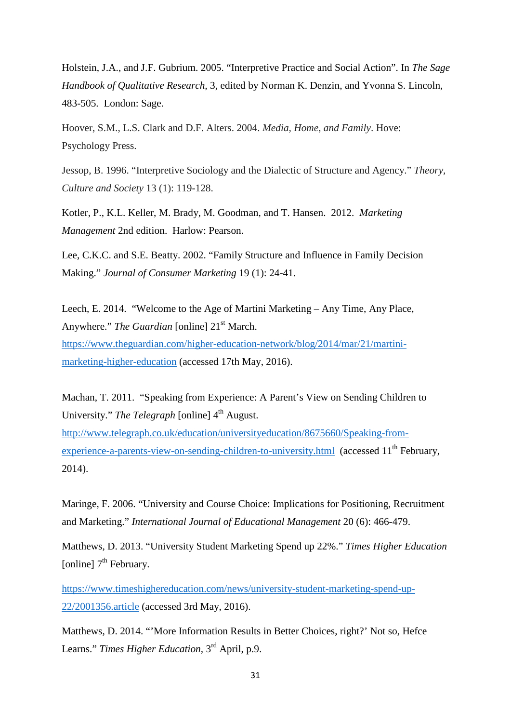Holstein, J.A., and J.F. Gubrium. 2005. "Interpretive Practice and Social Action". In *The Sage Handbook of Qualitative Research,* 3, edited by Norman K. Denzin, and Yvonna S. Lincoln, 483-505. London: Sage.

Hoover, S.M., L.S. Clark and D.F. Alters. 2004. *Media, Home, and Family*. Hove: Psychology Press.

Jessop, B. 1996. "Interpretive Sociology and the Dialectic of Structure and Agency." *Theory, Culture and Society* 13 (1): 119-128.

Kotler, P., K.L. Keller, M. Brady, M. Goodman, and T. Hansen. 2012. *Marketing Management* 2nd edition. Harlow: Pearson.

Lee, C.K.C. and S.E. Beatty. 2002. "Family Structure and Influence in Family Decision Making." *Journal of Consumer Marketing* 19 (1): 24-41.

Leech, E. 2014. "Welcome to the Age of Martini Marketing – Any Time, Any Place, Anywhere." *The Guardian* [online]  $21<sup>st</sup> March$ . [https://www.theguardian.com/higher-education-network/blog/2014/mar/21/martini](https://www.theguardian.com/higher-education-network/blog/2014/mar/21/martini-marketing-higher-education)[marketing-higher-education](https://www.theguardian.com/higher-education-network/blog/2014/mar/21/martini-marketing-higher-education) (accessed 17th May, 2016).

Machan, T. 2011. "Speaking from Experience: A Parent's View on Sending Children to University." *The Telegraph* [online]  $4<sup>th</sup>$  August.

[http://www.telegraph.co.uk/education/universityeducation/8675660/Speaking-from](http://www.telegraph.co.uk/education/universityeducation/8675660/Speaking-from-experience-a-parents-view-on-sending-children-to-university.html)[experience-a-parents-view-on-sending-children-to-university.html](http://www.telegraph.co.uk/education/universityeducation/8675660/Speaking-from-experience-a-parents-view-on-sending-children-to-university.html) (accessed 11<sup>th</sup> February, 2014).

Maringe, F. 2006. "University and Course Choice: Implications for Positioning, Recruitment and Marketing." *International Journal of Educational Management* 20 (6): 466-479.

Matthews, D. 2013. "University Student Marketing Spend up 22%." *Times Higher Education* [online]  $7<sup>th</sup>$  February.

[https://www.timeshighereducation.com/news/university-student-marketing-spend-up-](https://www.timeshighereducation.com/news/university-student-marketing-spend-up-22/2001356.article)[22/2001356.article](https://www.timeshighereducation.com/news/university-student-marketing-spend-up-22/2001356.article) (accessed 3rd May, 2016).

Matthews, D. 2014. "'More Information Results in Better Choices, right?' Not so, Hefce Learns." *Times Higher Education,* 3rd April, p.9.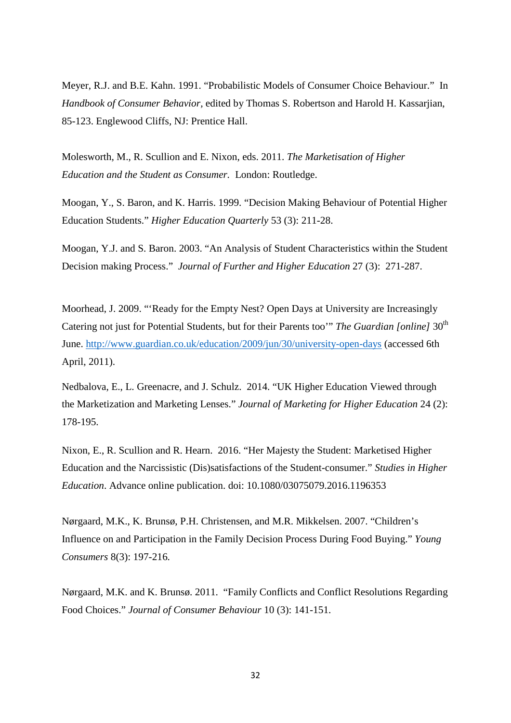Meyer, R.J. and B.E. Kahn. 1991. "Probabilistic Models of Consumer Choice Behaviour." In *Handbook of Consumer Behavior,* edited by Thomas S. Robertson and Harold H. Kassarjian, 85-123. Englewood Cliffs, NJ: Prentice Hall.

Molesworth, M., R. Scullion and E. Nixon, eds. 2011. *The Marketisation of Higher Education and the Student as Consumer.* London: Routledge.

Moogan, Y., S. Baron, and K. Harris. 1999. "Decision Making Behaviour of Potential Higher Education Students." *Higher Education Quarterly* 53 (3): 211-28.

Moogan, Y.J. and S. Baron. 2003. "An Analysis of Student Characteristics within the Student Decision making Process." *Journal of Further and Higher Education* 27 (3): 271-287.

Moorhead, J. 2009. "'Ready for the Empty Nest? Open Days at University are Increasingly Catering not just for Potential Students, but for their Parents too'" *The Guardian [online]* 30<sup>th</sup> June.<http://www.guardian.co.uk/education/2009/jun/30/university-open-days> (accessed 6th April, 2011).

Nedbalova, E., L. Greenacre, and J. Schulz. 2014. "UK Higher Education Viewed through the Marketization and Marketing Lenses." *Journal of Marketing for Higher Education* 24 (2): 178-195.

Nixon, E., R. Scullion and R. Hearn. 2016. "Her Majesty the Student: Marketised Higher Education and the Narcissistic (Dis)satisfactions of the Student-consumer." *Studies in Higher Education*. Advance online publication. doi: 10.1080/03075079.2016.1196353

Nørgaard, M.K., K. Brunsø, P.H. Christensen, and M.R. Mikkelsen. 2007. "Children's Influence on and Participation in the Family Decision Process During Food Buying." *Young Consumers* 8(3): 197-216*.*

Nørgaard, M.K. and K. Brunsø. 2011. "Family Conflicts and Conflict Resolutions Regarding Food Choices." *Journal of Consumer Behaviour* 10 (3): 141-151.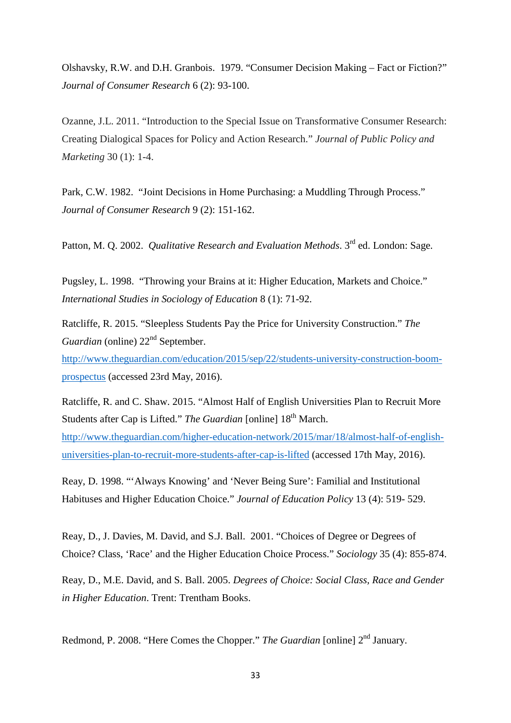Olshavsky, R.W. and D.H. Granbois. 1979. "Consumer Decision Making – Fact or Fiction?" *Journal of Consumer Research* 6 (2): 93-100.

Ozanne, J.L. 2011. "Introduction to the Special Issue on Transformative Consumer Research: Creating Dialogical Spaces for Policy and Action Research." *Journal of Public Policy and Marketing* 30 (1): 1-4.

Park, C.W. 1982. "Joint Decisions in Home Purchasing: a Muddling Through Process." *Journal of Consumer Research* 9 (2): 151-162.

Patton, M. Q. 2002. *Qualitative Research and Evaluation Methods*. 3<sup>rd</sup> ed. London: Sage.

Pugsley, L. 1998. "Throwing your Brains at it: Higher Education, Markets and Choice." *International Studies in Sociology of Education* 8 (1): 71-92.

Ratcliffe, R. 2015. "Sleepless Students Pay the Price for University Construction." *The Guardian* (online)  $22<sup>nd</sup>$  September.

[http://www.theguardian.com/education/2015/sep/22/students-university-construction-boom](http://www.theguardian.com/education/2015/sep/22/students-university-construction-boom-prospectus)[prospectus](http://www.theguardian.com/education/2015/sep/22/students-university-construction-boom-prospectus) (accessed 23rd May, 2016).

Ratcliffe, R. and C. Shaw. 2015. "Almost Half of English Universities Plan to Recruit More Students after Cap is Lifted." *The Guardian* [online] 18<sup>th</sup> March. [http://www.theguardian.com/higher-education-network/2015/mar/18/almost-half-of-english](http://www.theguardian.com/higher-education-network/2015/mar/18/almost-half-of-english-universities-plan-to-recruit-more-students-after-cap-is-lifted)[universities-plan-to-recruit-more-students-after-cap-is-lifted](http://www.theguardian.com/higher-education-network/2015/mar/18/almost-half-of-english-universities-plan-to-recruit-more-students-after-cap-is-lifted) (accessed 17th May, 2016).

Reay, D. 1998. "'Always Knowing' and 'Never Being Sure': Familial and Institutional Habituses and Higher Education Choice." *Journal of Education Policy* 13 (4): 519- 529.

Reay, D., J. Davies, M. David, and S.J. Ball. 2001. "Choices of Degree or Degrees of Choice? Class, 'Race' and the Higher Education Choice Process." *Sociology* 35 (4): 855-874.

Reay, D., M.E. David, and S. Ball. 2005. *Degrees of Choice: Social Class, Race and Gender in Higher Education*. Trent: Trentham Books.

Redmond, P. 2008. "Here Comes the Chopper." *The Guardian* [online]  $2<sup>nd</sup>$  January.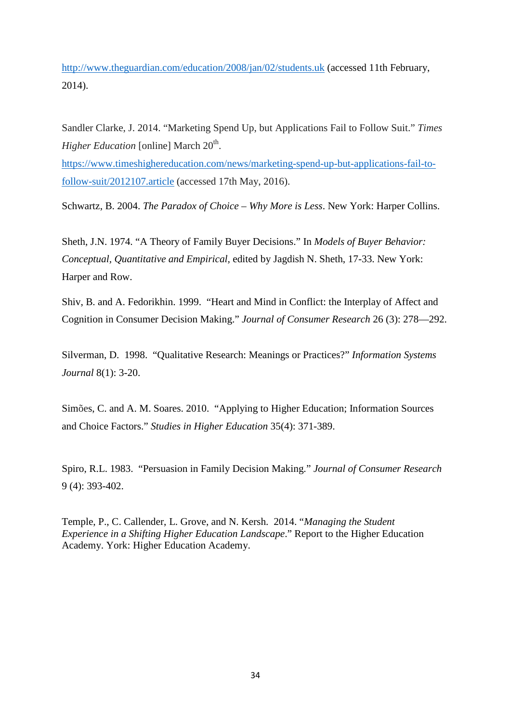<http://www.theguardian.com/education/2008/jan/02/students.uk> (accessed 11th February, 2014).

Sandler Clarke, J. 2014. "Marketing Spend Up, but Applications Fail to Follow Suit." *Times Higher Education* [online] March  $20<sup>th</sup>$ .

[https://www.timeshighereducation.com/news/marketing-spend-up-but-applications-fail-to](https://www.timeshighereducation.com/news/marketing-spend-up-but-applications-fail-to-follow-suit/2012107.article)[follow-suit/2012107.article](https://www.timeshighereducation.com/news/marketing-spend-up-but-applications-fail-to-follow-suit/2012107.article) (accessed 17th May, 2016).

Schwartz, B. 2004. *The Paradox of Choice* – *Why More is Less*. New York: Harper Collins.

Sheth, J.N. 1974. "A Theory of Family Buyer Decisions." In *Models of Buyer Behavior: Conceptual, Quantitative and Empirical,* edited by Jagdish N. Sheth, 17-33. New York: Harper and Row.

Shiv, B. and A. Fedorikhin. 1999. "Heart and Mind in Conflict: the Interplay of Affect and Cognition in Consumer Decision Making." *Journal of Consumer Research* 26 (3): 278—292.

Silverman, D. 1998. "Qualitative Research: Meanings or Practices?" *Information Systems Journal* 8(1): 3-20.

Simões, C. and A. M. Soares. 2010. "Applying to Higher Education; Information Sources and Choice Factors." *Studies in Higher Education* 35(4): 371-389.

Spiro, R.L. 1983. "Persuasion in Family Decision Making." *Journal of Consumer Research*  9 (4): 393-402.

Temple, P., C. Callender, L. Grove, and N. Kersh. 2014. "*Managing the Student Experience in a Shifting Higher Education Landscape*." Report to the Higher Education Academy. York: Higher Education Academy.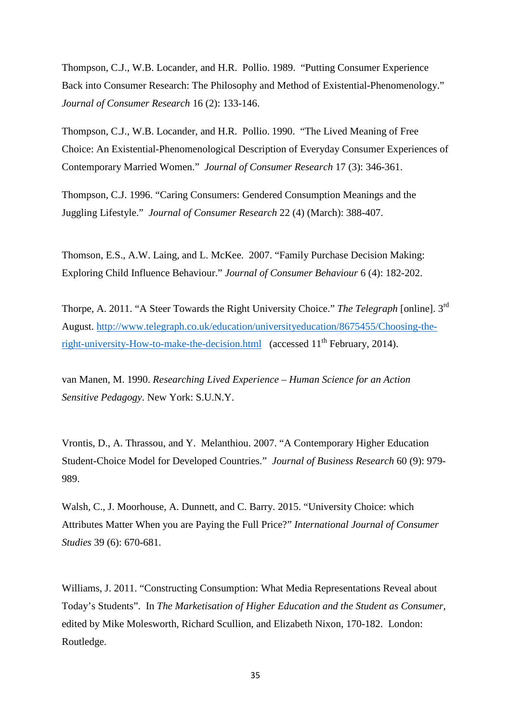Thompson, C.J., W.B. Locander, and H.R. Pollio. 1989. "Putting Consumer Experience Back into Consumer Research: The Philosophy and Method of Existential-Phenomenology." *Journal of Consumer Research* 16 (2): 133-146.

Thompson, C.J., W.B. Locander, and H.R. Pollio. 1990. "The Lived Meaning of Free Choice: An Existential-Phenomenological Description of Everyday Consumer Experiences of Contemporary Married Women." *Journal of Consumer Research* 17 (3): 346-361.

Thompson, C.J. 1996. "Caring Consumers: Gendered Consumption Meanings and the Juggling Lifestyle." *Journal of Consumer Research* 22 (4) (March): 388-407.

Thomson, E.S., A.W. Laing, and L. McKee. 2007. "Family Purchase Decision Making: Exploring Child Influence Behaviour." *Journal of Consumer Behaviour* 6 (4): 182-202.

Thorpe, A. 2011. "A Steer Towards the Right University Choice." *The Telegraph* [online]. 3rd August. [http://www.telegraph.co.uk/education/universityeducation/8675455/Choosing-the](http://www.telegraph.co.uk/education/universityeducation/8675455/Choosing-the-right-university-How-to-make-the-decision.html)[right-university-How-to-make-the-decision.html](http://www.telegraph.co.uk/education/universityeducation/8675455/Choosing-the-right-university-How-to-make-the-decision.html) (accessed  $11<sup>th</sup>$  February, 2014).

van Manen, M. 1990. *Researching Lived Experience – Human Science for an Action Sensitive Pedagogy*. New York: S.U.N.Y.

Vrontis, D., A. Thrassou, and Y. Melanthiou. 2007. "A Contemporary Higher Education Student-Choice Model for Developed Countries." *Journal of Business Research* 60 (9): 979- 989.

Walsh, C., J. Moorhouse, A. Dunnett, and C. Barry. 2015. "University Choice: which Attributes Matter When you are Paying the Full Price?" *International Journal of Consumer Studies* 39 (6): 670-681.

Williams, J. 2011. "Constructing Consumption: What Media Representations Reveal about Today's Students". In *The Marketisation of Higher Education and the Student as Consumer,*  edited by Mike Molesworth, Richard Scullion, and Elizabeth Nixon, 170-182. London: Routledge.